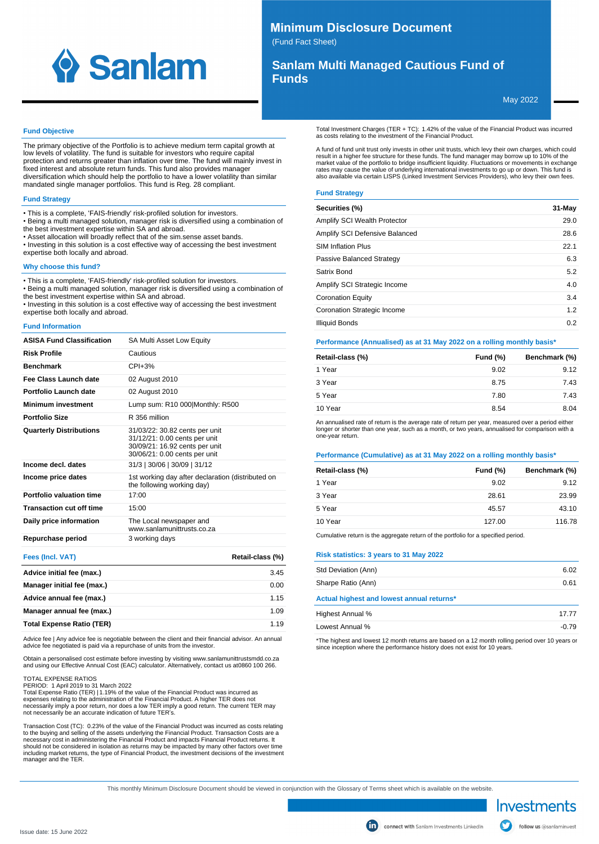

# **Minimum Disclosure Document**

(Fund Fact Sheet)

# **Sanlam Multi Managed Cautious Fund of Funds**

May 2022

## **Fund Objective**

The primary objective of the Portfolio is to achieve medium term capital growth at low levels of volatility. The fund is suitable for investors who require capital protection and returns greater than inflation over time. The fund will mainly invest in fixed interest and absolute return funds. This fund also provides manager diversification which should help the portfolio to have a lower volatility than similar mandated single manager portfolios. This fund is Reg. 28 compliant.

#### **Fund Strategy**

- This is a complete, 'FAIS-friendly' risk-profiled solution for investors.
- Being a multi managed solution, manager risk is diversified using a combination of the best investment expertise within SA and abroad.
- Asset allocation will broadly reflect that of the sim.sense asset bands.
- Investing in this solution is a cost effective way of accessing the best investment expertise both locally and abroad.

#### **Why choose this fund?**

• This is a complete, 'FAIS-friendly' risk-profiled solution for investors.

• Being a multi managed solution, manager risk is diversified using a combination of the best investment expertise within SA and abroad.

• Investing in this solution is a cost effective way of accessing the best investment expertise both locally and abroad.

#### **Fund Information**

| <b>ASISA Fund Classification</b> | SA Multi Asset Low Equity                                                                                                          |
|----------------------------------|------------------------------------------------------------------------------------------------------------------------------------|
| <b>Risk Profile</b>              | Cautious                                                                                                                           |
| <b>Benchmark</b>                 | $CPI + 3%$                                                                                                                         |
| Fee Class Launch date            | 02 August 2010                                                                                                                     |
| Portfolio Launch date            | 02 August 2010                                                                                                                     |
| <b>Minimum investment</b>        | Lump sum: R10 000 Monthly: R500                                                                                                    |
| Portfolio Size                   | R 356 million                                                                                                                      |
| <b>Quarterly Distributions</b>   | 31/03/22: 30.82 cents per unit<br>31/12/21: 0.00 cents per unit<br>30/09/21: 16.92 cents per unit<br>30/06/21: 0.00 cents per unit |
| Income decl. dates               | 31/3   30/06   30/09   31/12                                                                                                       |
| Income price dates               | 1st working day after declaration (distributed on<br>the following working day)                                                    |
| Portfolio valuation time         | 17:00                                                                                                                              |
| <b>Transaction cut off time</b>  | 15:00                                                                                                                              |
| Daily price information          | The Local newspaper and<br>www.sanlamunittrusts.co.za                                                                              |
| Repurchase period                | 3 working days                                                                                                                     |

| Fees (Incl. VAT)                 | Retail-class (%) |
|----------------------------------|------------------|
| Advice initial fee (max.)        | 3.45             |
| Manager initial fee (max.)       | 0.00             |
| Advice annual fee (max.)         | 1.15             |
| Manager annual fee (max.)        | 1.09             |
| <b>Total Expense Ratio (TER)</b> | 1 1 9            |

Advice fee | Any advice fee is negotiable between the client and their financial advisor. An annual advice fee negotiated is paid via a repurchase of units from the investor.

Obtain a personalised cost estimate before investing by visiting www.sanlamunittrustsmdd.co.za<br>and using our Effective Annual Cost (EAC) calculator. Alternatively, contact us at0860 100 266.

TOTAL EXPENSE RATIOS

PERIOD: 1 April 2019 to 31 March 2022

Total Expense Ratio (TER) | 1.19% of the value of the Financial Product was incurred as expenses relating to the administration of the Financial Product. A higher TER does not necessarily imply a poor return, nor does a low TER imply a good return. The current TER may not necessarily be an accurate indication of future TER's.

Transaction Cost (TC): 0.23% of the value of the Financial Product was incurred as costs relating to the buying and selling of the assets underlying the Financial Product. Transaction Costs are a necessary cost in administering the Financial Product and impacts Financial Product returns. It should not be considered in isolation as returns may be impacted by many other factors over time including market returns, the type of Financial Product, the investment decisions of the investment manager and the TER.

Total Investment Charges (TER + TC): 1.42% of the value of the Financial Product was incurred as costs relating to the investment of the Financial Product.

A fund of fund unit trust only invests in other unit trusts, which levy their own charges, which could result in a higher fee structure for these funds. The fund manager may borrow up to 10% of the market value of the portfolio to bridge insufficient liquidity. Fluctuations or movements in exchange rates may cause the value of underlying international investments to go up or down. This fund is also available via certain LISPS (Linked Investment Services Providers), who levy their own fees.

### **Fund Strategy**

| Securities (%)                 | 31-May |
|--------------------------------|--------|
| Amplify SCI Wealth Protector   | 29.0   |
| Amplify SCI Defensive Balanced | 28.6   |
| <b>SIM Inflation Plus</b>      | 22.1   |
| Passive Balanced Strategy      | 6.3    |
| Satrix Bond                    | 5.2    |
| Amplify SCI Strategic Income   | 4.0    |
| <b>Coronation Equity</b>       | 3.4    |
| Coronation Strategic Income    | 1.2    |
| <b>Illiquid Bonds</b>          | 0.2    |

#### **Performance (Annualised) as at 31 May 2022 on a rolling monthly basis\***

| Retail-class (%) | Fund $(\%)$ | Benchmark (%) |
|------------------|-------------|---------------|
| 1 Year           | 9.02        | 9.12          |
| 3 Year           | 8.75        | 7.43          |
| 5 Year           | 7.80        | 7.43          |
| 10 Year          | 8.54        | 8.04          |

An annualised rate of return is the average rate of return per year, measured over a period either longer or shorter than one year, such as a month, or two years, annualised for comparison with a one-year return.

## **Performance (Cumulative) as at 31 May 2022 on a rolling monthly basis\***

| Retail-class (%) | Fund $(\%)$ | Benchmark (%) |
|------------------|-------------|---------------|
| 1 Year           | 9.02        | 9.12          |
| 3 Year           | 28.61       | 23.99         |
| 5 Year           | 45.57       | 43.10         |
| 10 Year          | 127.00      | 116.78        |

Cumulative return is the aggregate return of the portfolio for a specified period.

# **Risk statistics: 3 years to 31 May 2022**

| Std Deviation (Ann)                       | 6.02    |
|-------------------------------------------|---------|
| Sharpe Ratio (Ann)                        | 0.61    |
| Actual highest and lowest annual returns* |         |
| Highest Annual %                          | 1777    |
| Lowest Annual %                           | $-0.79$ |

\*The highest and lowest 12 month returns are based on a 12 month rolling period over 10 years or since inception where the performance history does not exist for 10 years.

This monthly Minimum Disclosure Document should be viewed in conjunction with the Glossary of Terms sheet which is available on the website.

Investments

follow us @sanlaminvest